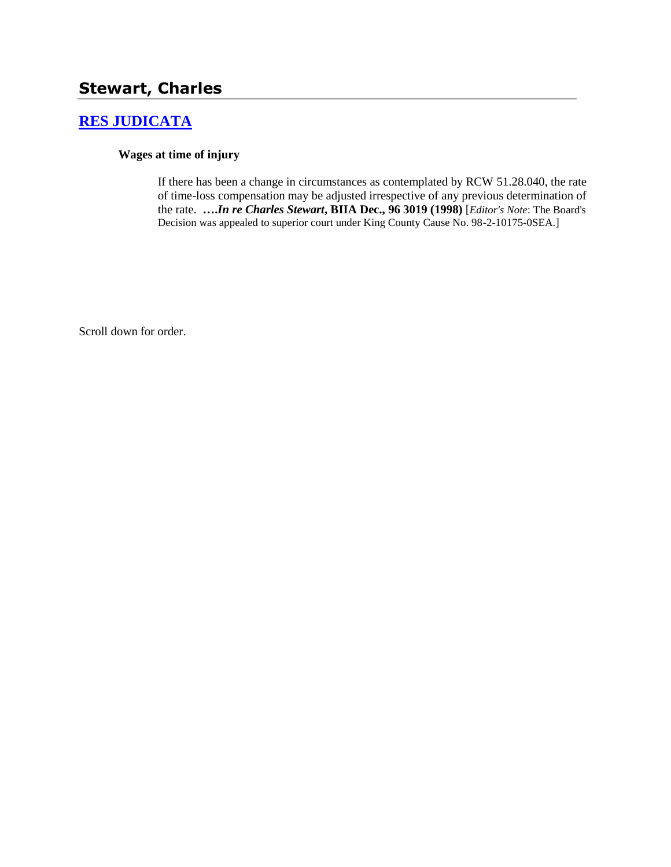# **Stewart, Charles**

# **[RES JUDICATA](http://www.biia.wa.gov/SDSubjectIndex.html#RES_JUDICATA)**

#### **Wages at time of injury**

If there has been a change in circumstances as contemplated by RCW 51.28.040, the rate of time-loss compensation may be adjusted irrespective of any previous determination of the rate. **….***In re Charles Stewart***, BIIA Dec., 96 3019 (1998)** [*Editor's Note*: The Board's Decision was appealed to superior court under King County Cause No. 98-2-10175-0SEA.]

Scroll down for order.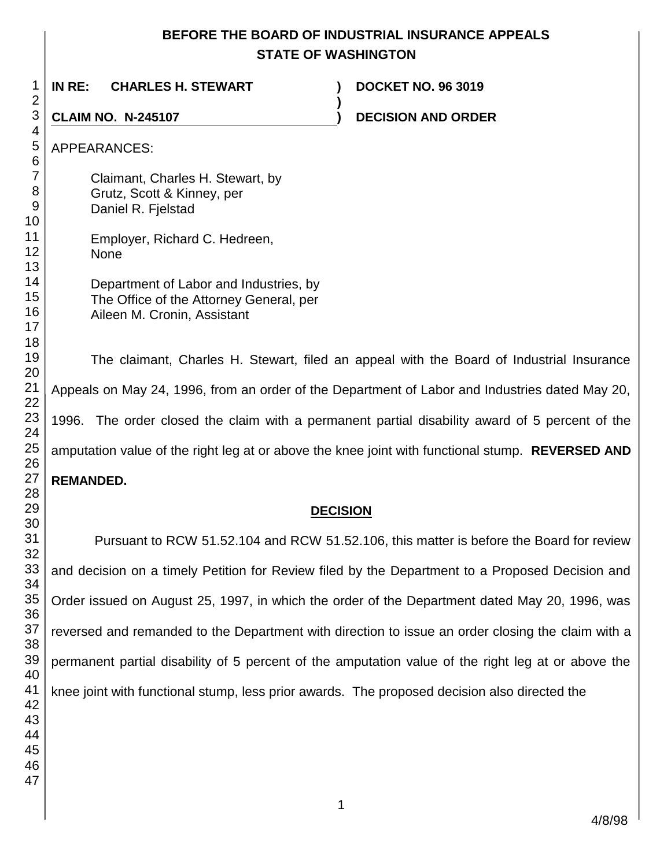# **BEFORE THE BOARD OF INDUSTRIAL INSURANCE APPEALS STATE OF WASHINGTON**

| 1                                           | IN RE:<br><b>CHARLES H. STEWART</b><br><b>DOCKET NO. 96 3019</b>                                                 |
|---------------------------------------------|------------------------------------------------------------------------------------------------------------------|
| $\overline{2}$                              |                                                                                                                  |
| $\ensuremath{\mathsf{3}}$                   | <b>CLAIM NO. N-245107</b><br><b>DECISION AND ORDER</b>                                                           |
| 4<br>5<br>$\,6$                             | <b>APPEARANCES:</b>                                                                                              |
| $\overline{7}$<br>8<br>$\overline{9}$<br>10 | Claimant, Charles H. Stewart, by<br>Grutz, Scott & Kinney, per<br>Daniel R. Fjelstad                             |
| 11<br>12<br>13                              | Employer, Richard C. Hedreen,<br><b>None</b>                                                                     |
| 14<br>15<br>16<br>17<br>18                  | Department of Labor and Industries, by<br>The Office of the Attorney General, per<br>Aileen M. Cronin, Assistant |
| 19<br>20                                    | The claimant, Charles H. Stewart, filed an appeal with the Board of Industrial Insurance                         |
| 21<br>22                                    | Appeals on May 24, 1996, from an order of the Department of Labor and Industries dated May 20,                   |
| 23<br>24                                    | 1996. The order closed the claim with a permanent partial disability award of 5 percent of the                   |
| 25<br>26                                    | amputation value of the right leg at or above the knee joint with functional stump. REVERSED AND                 |
| 27                                          | <b>REMANDED.</b>                                                                                                 |
| 28<br>29                                    |                                                                                                                  |
| 30                                          | <b>DECISION</b>                                                                                                  |
| 31                                          | Pursuant to RCW 51.52.104 and RCW 51.52.106, this matter is before the Board for review                          |

 Pursuant to RCW 51.52.104 and RCW 51.52.106, this matter is before the Board for review and decision on a timely Petition for Review filed by the Department to a Proposed Decision and Order issued on August 25, 1997, in which the order of the Department dated May 20, 1996, was reversed and remanded to the Department with direction to issue an order closing the claim with a permanent partial disability of 5 percent of the amputation value of the right leg at or above the knee joint with functional stump, less prior awards. The proposed decision also directed the

4/8/98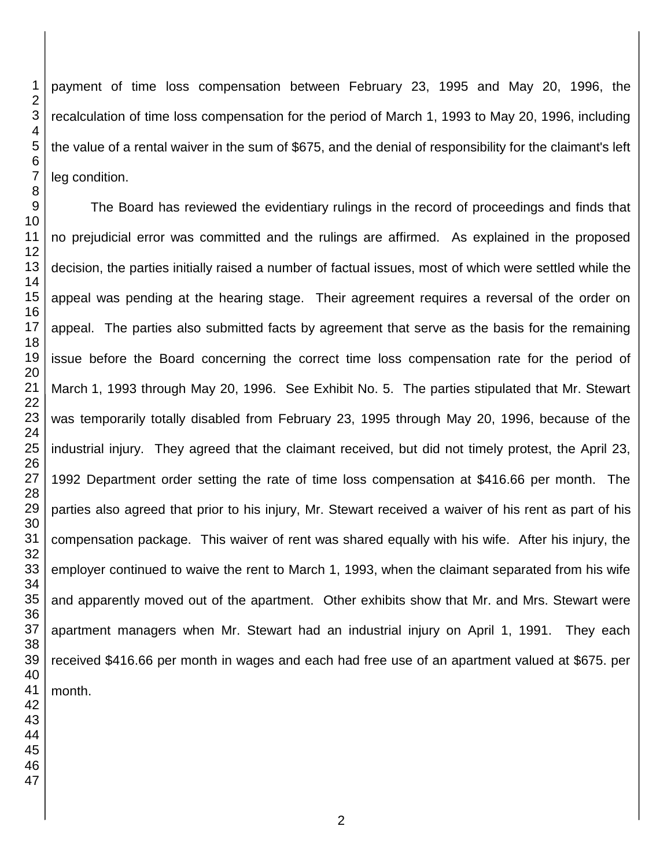payment of time loss compensation between February 23, 1995 and May 20, 1996, the recalculation of time loss compensation for the period of March 1, 1993 to May 20, 1996, including the value of a rental waiver in the sum of \$675, and the denial of responsibility for the claimant's left leg condition.

The Board has reviewed the evidentiary rulings in the record of proceedings and finds that no prejudicial error was committed and the rulings are affirmed. As explained in the proposed decision, the parties initially raised a number of factual issues, most of which were settled while the appeal was pending at the hearing stage. Their agreement requires a reversal of the order on appeal. The parties also submitted facts by agreement that serve as the basis for the remaining issue before the Board concerning the correct time loss compensation rate for the period of March 1, 1993 through May 20, 1996. See Exhibit No. 5. The parties stipulated that Mr. Stewart was temporarily totally disabled from February 23, 1995 through May 20, 1996, because of the industrial injury. They agreed that the claimant received, but did not timely protest, the April 23, 1992 Department order setting the rate of time loss compensation at \$416.66 per month. The parties also agreed that prior to his injury, Mr. Stewart received a waiver of his rent as part of his compensation package. This waiver of rent was shared equally with his wife. After his injury, the employer continued to waive the rent to March 1, 1993, when the claimant separated from his wife and apparently moved out of the apartment. Other exhibits show that Mr. and Mrs. Stewart were apartment managers when Mr. Stewart had an industrial injury on April 1, 1991. They each received \$416.66 per month in wages and each had free use of an apartment valued at \$675. per month.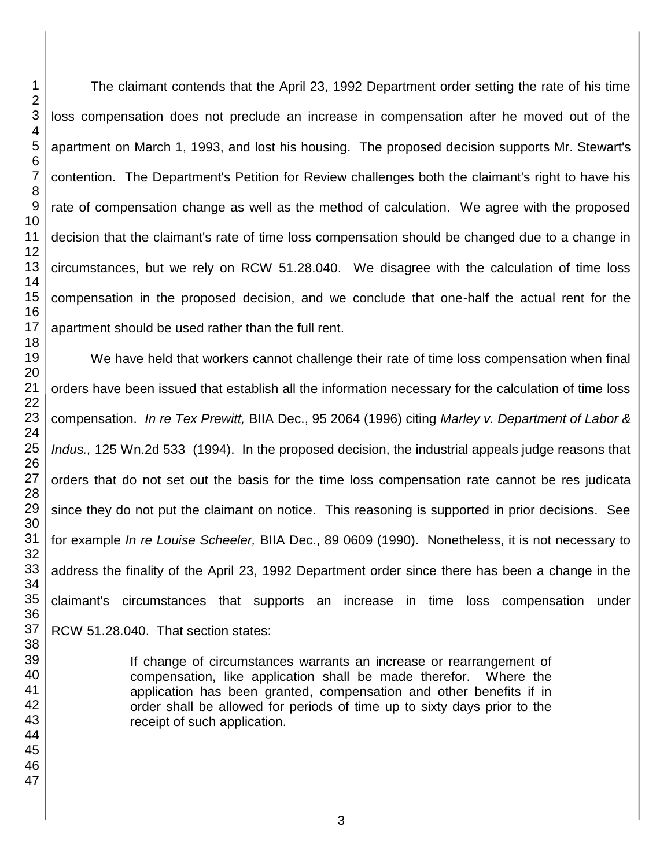The claimant contends that the April 23, 1992 Department order setting the rate of his time loss compensation does not preclude an increase in compensation after he moved out of the apartment on March 1, 1993, and lost his housing. The proposed decision supports Mr. Stewart's contention. The Department's Petition for Review challenges both the claimant's right to have his rate of compensation change as well as the method of calculation. We agree with the proposed decision that the claimant's rate of time loss compensation should be changed due to a change in circumstances, but we rely on RCW 51.28.040. We disagree with the calculation of time loss compensation in the proposed decision, and we conclude that one-half the actual rent for the apartment should be used rather than the full rent.

We have held that workers cannot challenge their rate of time loss compensation when final orders have been issued that establish all the information necessary for the calculation of time loss compensation. *In re Tex Prewitt,* BIIA Dec., 95 2064 (1996) citing *Marley v. Department of Labor & Indus.,* 125 Wn.2d 533 (1994). In the proposed decision, the industrial appeals judge reasons that orders that do not set out the basis for the time loss compensation rate cannot be res judicata since they do not put the claimant on notice. This reasoning is supported in prior decisions. See for example *In re Louise Scheeler,* BIIA Dec., 89 0609 (1990). Nonetheless, it is not necessary to address the finality of the April 23, 1992 Department order since there has been a change in the claimant's circumstances that supports an increase in time loss compensation under RCW 51.28.040. That section states:

> If change of circumstances warrants an increase or rearrangement of compensation, like application shall be made therefor. Where the application has been granted, compensation and other benefits if in order shall be allowed for periods of time up to sixty days prior to the receipt of such application.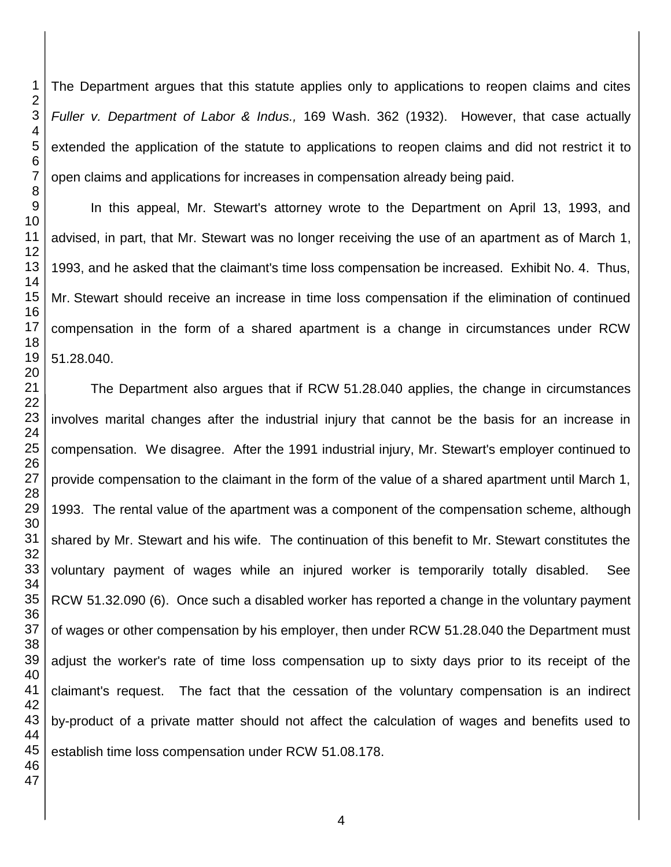The Department argues that this statute applies only to applications to reopen claims and cites *Fuller v. Department of Labor & Indus.,* 169 Wash. 362 (1932). However, that case actually extended the application of the statute to applications to reopen claims and did not restrict it to open claims and applications for increases in compensation already being paid.

In this appeal, Mr. Stewart's attorney wrote to the Department on April 13, 1993, and advised, in part, that Mr. Stewart was no longer receiving the use of an apartment as of March 1, 1993, and he asked that the claimant's time loss compensation be increased. Exhibit No. 4. Thus, Mr. Stewart should receive an increase in time loss compensation if the elimination of continued compensation in the form of a shared apartment is a change in circumstances under RCW 51.28.040.

The Department also argues that if RCW 51.28.040 applies, the change in circumstances involves marital changes after the industrial injury that cannot be the basis for an increase in compensation. We disagree. After the 1991 industrial injury, Mr. Stewart's employer continued to provide compensation to the claimant in the form of the value of a shared apartment until March 1, 1993. The rental value of the apartment was a component of the compensation scheme, although shared by Mr. Stewart and his wife. The continuation of this benefit to Mr. Stewart constitutes the voluntary payment of wages while an injured worker is temporarily totally disabled. See RCW 51.32.090 (6). Once such a disabled worker has reported a change in the voluntary payment of wages or other compensation by his employer, then under RCW 51.28.040 the Department must adjust the worker's rate of time loss compensation up to sixty days prior to its receipt of the claimant's request. The fact that the cessation of the voluntary compensation is an indirect by-product of a private matter should not affect the calculation of wages and benefits used to establish time loss compensation under RCW 51.08.178.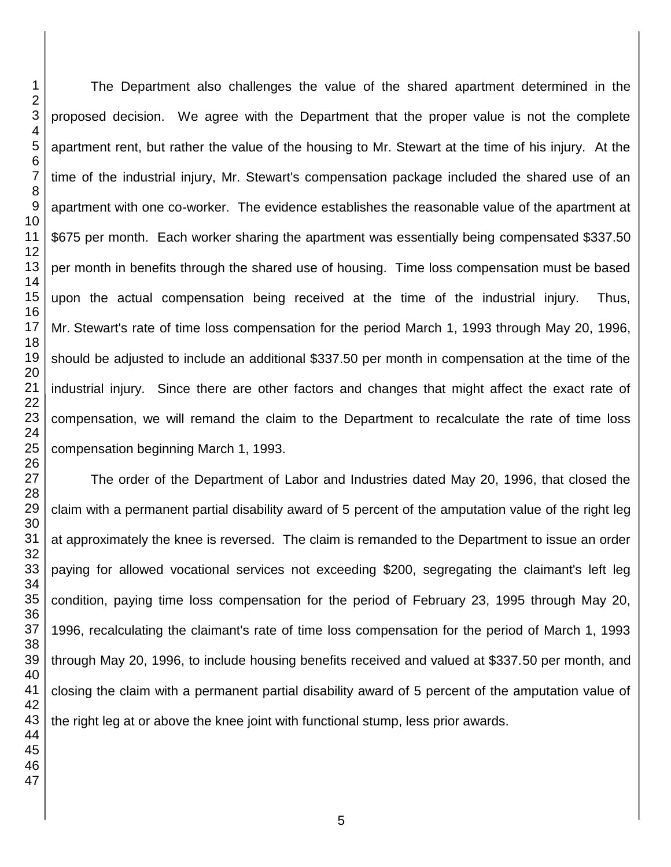The Department also challenges the value of the shared apartment determined in the proposed decision. We agree with the Department that the proper value is not the complete apartment rent, but rather the value of the housing to Mr. Stewart at the time of his injury. At the time of the industrial injury, Mr. Stewart's compensation package included the shared use of an apartment with one co-worker. The evidence establishes the reasonable value of the apartment at \$675 per month. Each worker sharing the apartment was essentially being compensated \$337.50 per month in benefits through the shared use of housing. Time loss compensation must be based upon the actual compensation being received at the time of the industrial injury. Thus, Mr. Stewart's rate of time loss compensation for the period March 1, 1993 through May 20, 1996, should be adjusted to include an additional \$337.50 per month in compensation at the time of the industrial injury. Since there are other factors and changes that might affect the exact rate of compensation, we will remand the claim to the Department to recalculate the rate of time loss compensation beginning March 1, 1993.

The order of the Department of Labor and Industries dated May 20, 1996, that closed the claim with a permanent partial disability award of 5 percent of the amputation value of the right leg at approximately the knee is reversed. The claim is remanded to the Department to issue an order paying for allowed vocational services not exceeding \$200, segregating the claimant's left leg condition, paying time loss compensation for the period of February 23, 1995 through May 20, 1996, recalculating the claimant's rate of time loss compensation for the period of March 1, 1993 through May 20, 1996, to include housing benefits received and valued at \$337.50 per month, and closing the claim with a permanent partial disability award of 5 percent of the amputation value of the right leg at or above the knee joint with functional stump, less prior awards.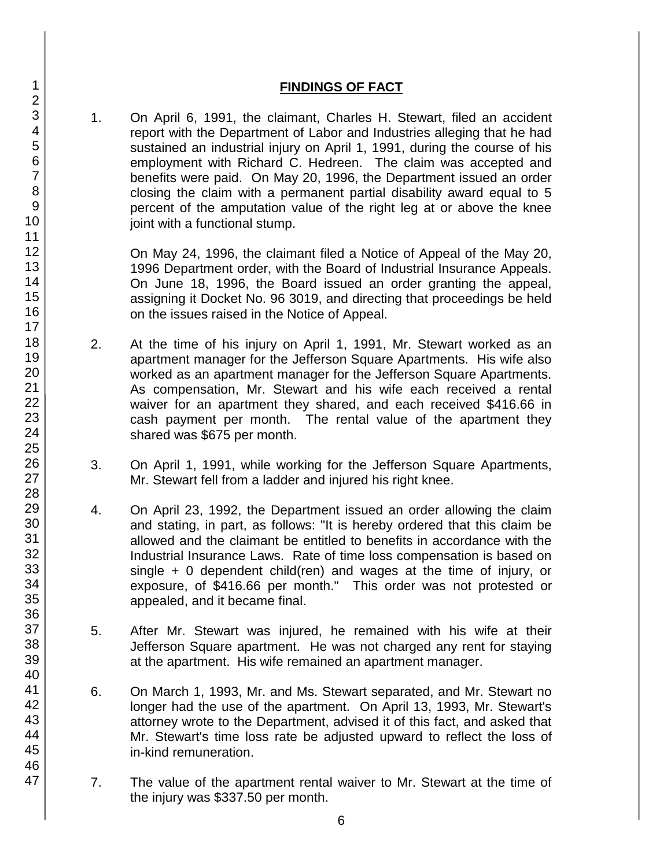## **FINDINGS OF FACT**

1. On April 6, 1991, the claimant, Charles H. Stewart, filed an accident report with the Department of Labor and Industries alleging that he had sustained an industrial injury on April 1, 1991, during the course of his employment with Richard C. Hedreen. The claim was accepted and benefits were paid. On May 20, 1996, the Department issued an order closing the claim with a permanent partial disability award equal to 5 percent of the amputation value of the right leg at or above the knee joint with a functional stump.

On May 24, 1996, the claimant filed a Notice of Appeal of the May 20, 1996 Department order, with the Board of Industrial Insurance Appeals. On June 18, 1996, the Board issued an order granting the appeal, assigning it Docket No. 96 3019, and directing that proceedings be held on the issues raised in the Notice of Appeal.

- 2. At the time of his injury on April 1, 1991, Mr. Stewart worked as an apartment manager for the Jefferson Square Apartments. His wife also worked as an apartment manager for the Jefferson Square Apartments. As compensation, Mr. Stewart and his wife each received a rental waiver for an apartment they shared, and each received \$416.66 in cash payment per month. The rental value of the apartment they shared was \$675 per month.
- 3. On April 1, 1991, while working for the Jefferson Square Apartments, Mr. Stewart fell from a ladder and injured his right knee.
- 4. On April 23, 1992, the Department issued an order allowing the claim and stating, in part, as follows: "It is hereby ordered that this claim be allowed and the claimant be entitled to benefits in accordance with the Industrial Insurance Laws. Rate of time loss compensation is based on single + 0 dependent child(ren) and wages at the time of injury, or exposure, of \$416.66 per month." This order was not protested or appealed, and it became final.
- 5. After Mr. Stewart was injured, he remained with his wife at their Jefferson Square apartment. He was not charged any rent for staying at the apartment. His wife remained an apartment manager.
- 6. On March 1, 1993, Mr. and Ms. Stewart separated, and Mr. Stewart no longer had the use of the apartment. On April 13, 1993, Mr. Stewart's attorney wrote to the Department, advised it of this fact, and asked that Mr. Stewart's time loss rate be adjusted upward to reflect the loss of in-kind remuneration.
- 7. The value of the apartment rental waiver to Mr. Stewart at the time of the injury was \$337.50 per month.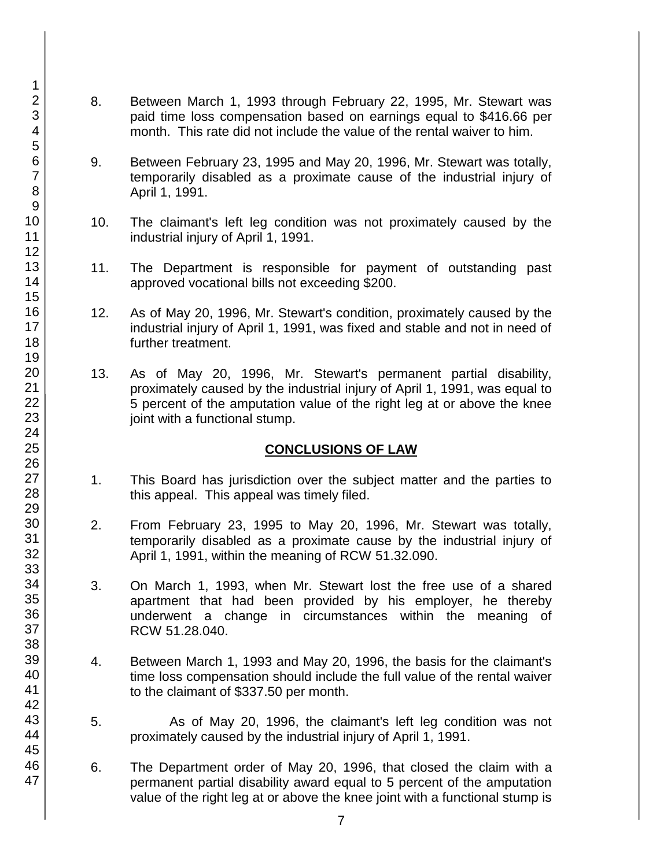- 8. Between March 1, 1993 through February 22, 1995, Mr. Stewart was paid time loss compensation based on earnings equal to \$416.66 per month. This rate did not include the value of the rental waiver to him.
- 9. Between February 23, 1995 and May 20, 1996, Mr. Stewart was totally, temporarily disabled as a proximate cause of the industrial injury of April 1, 1991.
- 10. The claimant's left leg condition was not proximately caused by the industrial injury of April 1, 1991.
- 11. The Department is responsible for payment of outstanding past approved vocational bills not exceeding \$200.
- 12. As of May 20, 1996, Mr. Stewart's condition, proximately caused by the industrial injury of April 1, 1991, was fixed and stable and not in need of further treatment.
- 13. As of May 20, 1996, Mr. Stewart's permanent partial disability, proximately caused by the industrial injury of April 1, 1991, was equal to 5 percent of the amputation value of the right leg at or above the knee joint with a functional stump.

# **CONCLUSIONS OF LAW**

- 1. This Board has jurisdiction over the subject matter and the parties to this appeal. This appeal was timely filed.
- 2. From February 23, 1995 to May 20, 1996, Mr. Stewart was totally, temporarily disabled as a proximate cause by the industrial injury of April 1, 1991, within the meaning of RCW 51.32.090.
- 3. On March 1, 1993, when Mr. Stewart lost the free use of a shared apartment that had been provided by his employer, he thereby underwent a change in circumstances within the meaning of RCW 51.28.040.
- 4. Between March 1, 1993 and May 20, 1996, the basis for the claimant's time loss compensation should include the full value of the rental waiver to the claimant of \$337.50 per month.
- 5. As of May 20, 1996, the claimant's left leg condition was not proximately caused by the industrial injury of April 1, 1991.
- 6. The Department order of May 20, 1996, that closed the claim with a permanent partial disability award equal to 5 percent of the amputation value of the right leg at or above the knee joint with a functional stump is